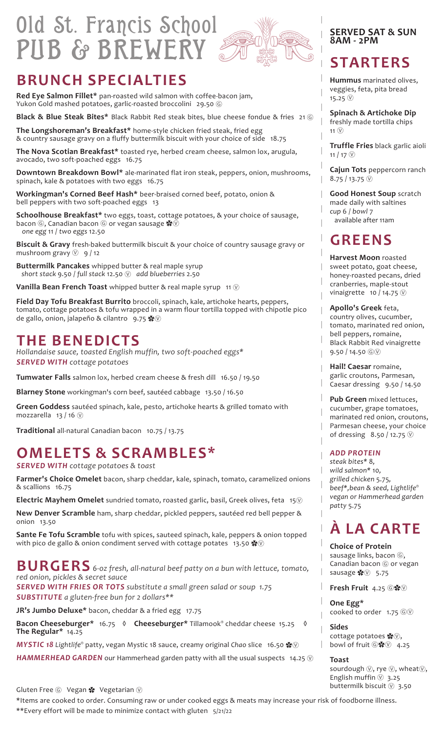## Old St. Francis School PUB & BREWERY



### **BRUNCH SPECIALTIES**

**Red Eye Salmon Fillet\*** pan-roasted wild salmon with coffee-bacon jam, Yukon Gold mashed potatoes, garlic-roasted broccolini 29.50 6

**Black & Blue Steak Bites\*** Black Rabbit Red steak bites, blue cheese fondue & fries 21 Ⓖ

**The Longshoreman's Breakfast\*** home-style chicken fried steak, fried egg & country sausage gravy on a fluffy buttermilk biscuit with your choice of side 18.75

**The Nova Scotian Breakfast\*** toasted rye, herbed cream cheese, salmon lox, arugula, avocado, two soft-poached eggs 16.75

**Downtown Breakdown Bowl\*** ale-marinated flat iron steak, peppers, onion, mushrooms, spinach, kale & potatoes with two eggs 16.75

**Workingman's Corned Beef Hash\*** beer-braised corned beef, potato, onion & bell peppers with two soft-poached eggs 13

**Schoolhouse Breakfast\*** two eggs, toast, cottage potatoes, & your choice of sausage, bacon ⓒ, Canadian bacon ⓒ or vegan sausage  $\clubsuit$  . *one egg* 11 / *two eggs* 12.50

**Biscuit & Gravy** fresh-baked buttermilk biscuit & your choice of country sausage gravy or mushroom gravy  $\circled{y}$  9/12

**Buttermilk Pancakes** whipped butter & real maple syrup *short stack* 9.50 / *full stack* 12.50 Ⓥ *add blueberries* 2.50

**Vanilla Bean French Toast** whipped butter & real maple syrup 11 Ⓥ

**Field Day Tofu Breakfast Burrito** broccoli, spinach, kale, artichoke hearts, peppers, tomato, cottage potatoes & tofu wrapped in a warm flour tortilla topped with chipotle pico de gallo, onion, jalapeño & cilantro 9.75 ※

### **THE BENEDICTS**

*Hollandaise sauce, toasted English muffin, two soft-poached eggs\* SERVED WITH cottage potatoes*

**Tumwater Falls** salmon lox, herbed cream cheese & fresh dill 16.50 / 19.50

**Blarney Stone** workingman's corn beef, sautéed cabbage 13.50 / 16.50

**Green Goddess** sautéed spinach, kale, pesto, artichoke hearts & grilled tomato with mozzarella 13 / 16  $\circledR$ 

**Traditional** all-natural Canadian bacon 10.75 / 13.75

## **OMELETS & SCRAMBLES\***

*SERVED WITH cottage potatoes & toast*

**Farmer's Choice Omelet** bacon, sharp cheddar, kale, spinach, tomato, caramelized onions & scallions 16.75

**Electric Mayhem Omelet** sundried tomato, roasted garlic, basil, Greek olives, feta 15Ⓥ

**New Denver Scramble** ham, sharp cheddar, pickled peppers, sautéed red bell pepper & onion 13.50

**Sante Fe Tofu Scramble** tofu with spices, sauteed spinach, kale, peppers & onion topped with pico de gallo & onion condiment served with cottage potates 13.50  $\clubsuit\heartsuit$ 

**BURGERS** *6-oz fresh, all-natural beef patty on a bun with lettuce, tomato, red onion, pickles & secret sauce*

*SERVED WITH FRIES OR TOTS substitute a small green salad or soup 1.75 SUBSTITUTE a gluten-free bun for 2 dollars\*\**

**JR's Jumbo Deluxe\*** bacon, cheddar & a fried egg 17.75

**Bacon Cheeseburger\*** 16.75 **◊ Cheeseburger\*** Tillamook® cheddar cheese 15.25 **◊ The Regular\*** 14.25

*MYSTIC 18 Lightlife®* patty, vegan Mystic 18 sauce, creamy original *Chao* slice 16.50 ✿Ⓥ

**HAMMERHEAD GARDEN** our Hammerhead garden patty with all the usual suspects 14.25  $\heartsuit$ 

Gluten Free  $\circledS$  Vegan  $\cdot$  Vegetarian  $\circledV$ 

\*Items are cooked to order. Consuming raw or under cooked eggs & meats may increase your risk of foodborne illness. \*\*Every effort will be made to minimize contact with gluten 5/21/22

#### **SERVED SAT & SUN 8AM - 2PM**

### **STARTERS**

**Hummus** marinated olives, veggies, feta, pita bread 15.25  $(\hat{V})$ 

**Spinach & Artichoke Dip**  freshly made tortilla chips  $11 \n(v)$ 

**Truffle Fries** black garlic aioli 11 / 17  $\circledR$ 

**Cajun Tots** peppercorn ranch  $8.75 / 13.75 \circledcirc$ 

**Good Honest Soup** scratch made daily with saltines *cup* 6 / *bowl* 7 available after 11am

### **GREENS**

**Harvest Moon** roasted

sweet potato, goat cheese,

- honey-roasted pecans, dried
- cranberries, maple-stout vinaigrette 10 / 14.75  $\circledR$

#### **Apollo's Greek** feta,

country olives, cucumber,

- tomato, marinated red onion,
- bell peppers, romaine, Black Rabbit Red vinaigrette
- $9.50 / 14.50$  © $\circledcirc$

**Hail! Caesar** romaine, garlic croutons, Parmesan, Caesar dressing 9.50 / 14.50

**Pub Green** mixed lettuces, cucumber, grape tomatoes, marinated red onion, croutons, Parmesan cheese, your choice of dressing 8.50 / 12.75  $\circledcirc$ 

#### *ADD PROTEIN*

*steak bites\** 8*, wild salmon\** 10*, grilled chicken* 5.75*, beef\*,bean & seed, Lightlife® vegan or Hammerhead garden patty* 5.75

## **À LA CARTE**

**Choice of Protein**  sausage links, bacon  $\circledcirc$ , Canadian bacon *G* or vegan sausage  $\clubsuit \circ$  5.75

Fresh Fruit 4.25 **G** $\cdot$ 

**One Egg\***

cooked to order  $1.75$   $@$ 

**Sides**  cottage potatoes  $\clubsuit$  $\heartsuit$ . bowl of fruit  $\circ$   $\cdot\cdot\cdot$  4.25

#### **Toast**

sourdough  $\mathbb{Q}$ , rye  $\mathbb{Q}$ , wheat $\mathbb{Q}$ , English muffin  $\circledR$  3.25 buttermilk biscuit  $\circledR$  3.50